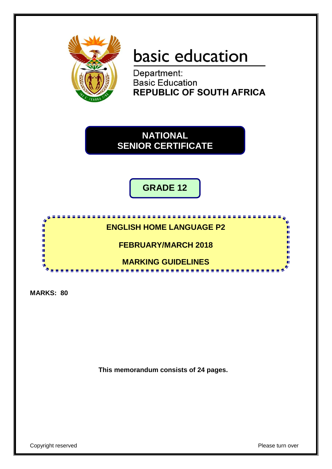

# basic education

Department: **Basic Education REPUBLIC OF SOUTH AFRICA** 



**GRADE 12**

# <u>. . . . . . . . . . . .</u> **ENGLISH HOME LANGUAGE P2**

**FEBRUARY/MARCH 2018**

**MARKING GUIDELINES**

a a

**MARKS: 80**

ID. i. 庫 10 ú. 10

**This memorandum consists of 24 pages.**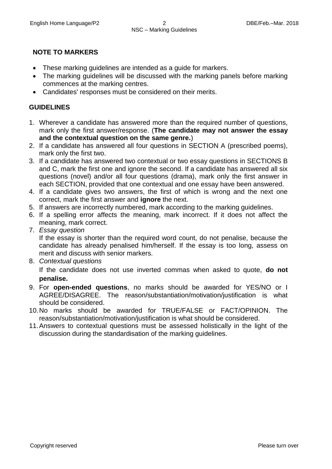# **NOTE TO MARKERS**

- These marking guidelines are intended as a guide for markers.
- The marking guidelines will be discussed with the marking panels before marking commences at the marking centres.
- Candidates' responses must be considered on their merits.

# **GUIDELINES**

- 1. Wherever a candidate has answered more than the required number of questions, mark only the first answer/response. (**The candidate may not answer the essay and the contextual question on the same genre.**)
- 2. If a candidate has answered all four questions in SECTION A (prescribed poems), mark only the first two.
- 3. If a candidate has answered two contextual or two essay questions in SECTIONS B and C, mark the first one and ignore the second. If a candidate has answered all six questions (novel) and/or all four questions (drama), mark only the first answer in each SECTION, provided that one contextual and one essay have been answered.
- 4. If a candidate gives two answers, the first of which is wrong and the next one correct, mark the first answer and **ignore** the next.
- 5. If answers are incorrectly numbered, mark according to the marking guidelines.
- 6. If a spelling error affects the meaning, mark incorrect. If it does not affect the meaning, mark correct.
- 7. *Essay question*

If the essay is shorter than the required word count, do not penalise, because the candidate has already penalised him/herself. If the essay is too long, assess on merit and discuss with senior markers.

8. *Contextual questions*

If the candidate does not use inverted commas when asked to quote, **do not penalise.**

- 9. For **open-ended questions**, no marks should be awarded for YES/NO or I AGREE/DISAGREE. The reason/substantiation/motivation/justification is what should be considered.
- 10.No marks should be awarded for TRUE/FALSE or FACT/OPINION. The reason/substantiation/motivation/justification is what should be considered.
- 11.Answers to contextual questions must be assessed holistically in the light of the discussion during the standardisation of the marking guidelines.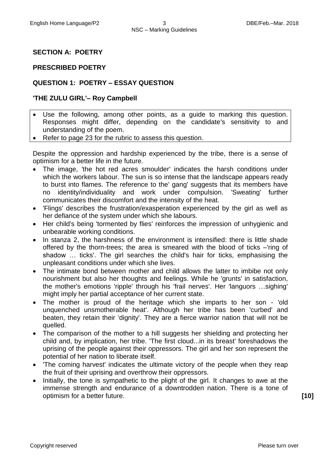#### **SECTION A: POETRY**

#### **PRESCRIBED POETRY**

### **QUESTION 1: POETRY – ESSAY QUESTION**

#### **'THE ZULU GIRL'– Roy Campbell**

- Use the following, among other points, as a guide to marking this question. Responses might differ, depending on the candidate's sensitivity to and understanding of the poem.
- Refer to page 23 for the rubric to assess this question.

Despite the oppression and hardship experienced by the tribe, there is a sense of optimism for a better life in the future.

- The image, 'the hot red acres smoulder' indicates the harsh conditions under which the workers labour. The sun is so intense that the landscape appears ready to burst into flames. The reference to the' gang' suggests that its members have no identity/individuality and work under compulsion. 'Sweating' further communicates their discomfort and the intensity of the heat.
- 'Flings' describes the frustration/exasperation experienced by the girl as well as her defiance of the system under which she labours.
- Her child's being 'tormented by flies' reinforces the impression of unhygienic and unbearable working conditions.
- In stanza 2, the harshness of the environment is intensified: there is little shade offered by the thorn-trees; the area is smeared with the blood of ticks –'ring of shadow … ticks'. The girl searches the child's hair for ticks, emphasising the unpleasant conditions under which she lives.
- The intimate bond between mother and child allows the latter to imbibe not only nourishment but also her thoughts and feelings. While he 'grunts' in satisfaction, the mother's emotions 'ripple' through his 'frail nerves'. Her 'languors …sighing' might imply her partial acceptance of her current state.
- The mother is proud of the heritage which she imparts to her son 'old unquenched unsmotherable heat'. Although her tribe has been 'curbed' and beaten, they retain their 'dignity'. They are a fierce warrior nation that will not be quelled.
- The comparison of the mother to a hill suggests her shielding and protecting her child and, by implication, her tribe. 'The first cloud...in its breast' foreshadows the uprising of the people against their oppressors. The girl and her son represent the potential of her nation to liberate itself.
- The coming harvest' indicates the ultimate victory of the people when they reap the fruit of their uprising and overthrow their oppressors.
- Initially, the tone is sympathetic to the plight of the girl. It changes to awe at the immense strength and endurance of a downtrodden nation. There is a tone of optimism for a better future. **[10]**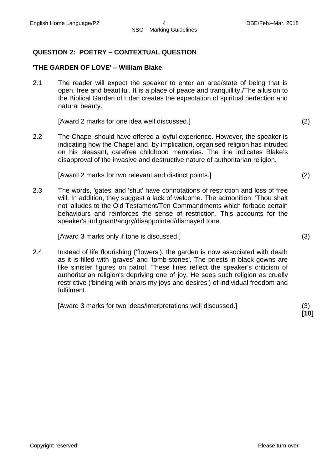#### **QUESTION 2: POETRY – CONTEXTUAL QUESTION**

#### **'THE GARDEN OF LOVE' – William Blake**

2.1 The reader will expect the speaker to enter an area/state of being that is open, free and beautiful. It is a place of peace and tranquillity./The allusion to the Biblical Garden of Eden creates the expectation of spiritual perfection and natural beauty.

[Award 2 marks for one idea well discussed.] (2)

2.2 The Chapel should have offered a joyful experience. However, the speaker is indicating how the Chapel and, by implication, organised religion has intruded on his pleasant, carefree childhood memories. The line indicates Blake's disapproval of the invasive and destructive nature of authoritarian religion.

[Award 2 marks for two relevant and distinct points.] (2)

2.3 The words, 'gates' and 'shut' have connotations of restriction and loss of free will. In addition, they suggest a lack of welcome. The admonition, 'Thou shalt not' alludes to the Old Testament/Ten Commandments which forbade certain behaviours and reinforces the sense of restriction. This accounts for the speaker's indignant/angry/disappointed/dismayed tone.

[Award 3 marks only if tone is discussed.] (3)

2.4 Instead of life flourishing ('flowers'), the garden is now associated with death as it is filled with 'graves' and 'tomb-stones'. The priests in black gowns are like sinister figures on patrol. These lines reflect the speaker's criticism of authoritarian religion's depriving one of joy. He sees such religion as cruelly restrictive ('binding with briars my joys and desires') of individual freedom and fulfilment.

[Award 3 marks for two ideas/interpretations well discussed.] (3)

**[10]**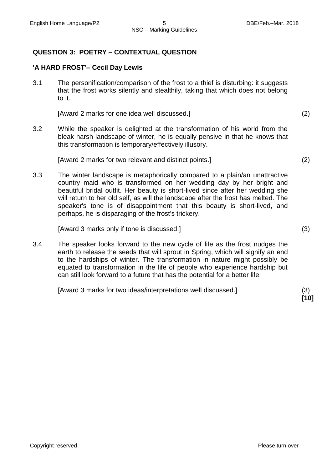# **QUESTION 3: POETRY – CONTEXTUAL QUESTION**

# **'A HARD FROST'– Cecil Day Lewis**

3.1 The personification/comparison of the frost to a thief is disturbing: it suggests that the frost works silently and stealthily, taking that which does not belong to it.

[Award 2 marks for one idea well discussed.] (2)

3.2 While the speaker is delighted at the transformation of his world from the bleak harsh landscape of winter, he is equally pensive in that he knows that this transformation is temporary/effectively illusory.

[Award 2 marks for two relevant and distinct points.] (2)

3.3 The winter landscape is metaphorically compared to a plain/an unattractive country maid who is transformed on her wedding day by her bright and beautiful bridal outfit. Her beauty is short-lived since after her wedding she will return to her old self, as will the landscape after the frost has melted. The speaker's tone is of disappointment that this beauty is short-lived, and perhaps, he is disparaging of the frost's trickery.

[Award 3 marks only if tone is discussed.] (3)

3.4 The speaker looks forward to the new cycle of life as the frost nudges the earth to release the seeds that will sprout in Spring, which will signify an end to the hardships of winter. The transformation in nature might possibly be equated to transformation in the life of people who experience hardship but can still look forward to a future that has the potential for a better life.

[Award 3 marks for two ideas/interpretations well discussed.] (3)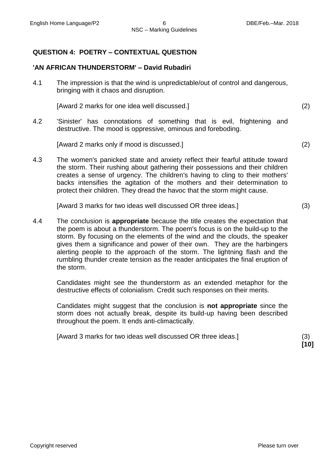# **QUESTION 4: POETRY – CONTEXTUAL QUESTION**

#### **'AN AFRICAN THUNDERSTORM' – David Rubadiri**

4.1 The impression is that the wind is unpredictable/out of control and dangerous, bringing with it chaos and disruption.

[Award 2 marks for one idea well discussed.] (2)

4.2 'Sinister' has connotations of something that is evil, frightening and destructive. The mood is oppressive, ominous and foreboding.

[Award 2 marks only if mood is discussed.] (2)

4.3 The women's panicked state and anxiety reflect their fearful attitude toward the storm. Their rushing about gathering their possessions and their children creates a sense of urgency. The children's having to cling to their mothers' backs intensifies the agitation of the mothers and their determination to protect their children. They dread the havoc that the storm might cause.

[Award 3 marks for two ideas well discussed OR three ideas.] (3)

4.4 The conclusion is **appropriate** because the title creates the expectation that the poem is about a thunderstorm. The poem's focus is on the build-up to the storm. By focusing on the elements of the wind and the clouds, the speaker gives them a significance and power of their own. They are the harbingers alerting people to the approach of the storm. The lightning flash and the rumbling thunder create tension as the reader anticipates the final eruption of the storm.

Candidates might see the thunderstorm as an extended metaphor for the destructive effects of colonialism. Credit such responses on their merits.

Candidates might suggest that the conclusion is **not appropriate** since the storm does not actually break, despite its build-up having been described throughout the poem. It ends anti-climactically.

[Award 3 marks for two ideas well discussed OR three ideas.] (3)

**[10]**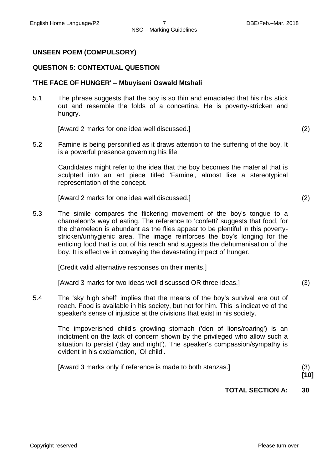#### **UNSEEN POEM (COMPULSORY)**

#### **QUESTION 5: CONTEXTUAL QUESTION**

#### **'THE FACE OF HUNGER' – Mbuyiseni Oswald Mtshali**

5.1 The phrase suggests that the boy is so thin and emaciated that his ribs stick out and resemble the folds of a concertina. He is poverty-stricken and hungry.

[Award 2 marks for one idea well discussed.] (2)

5.2 Famine is being personified as it draws attention to the suffering of the boy. It is a powerful presence governing his life.

Candidates might refer to the idea that the boy becomes the material that is sculpted into an art piece titled 'Famine', almost like a stereotypical representation of the concept.

[Award 2 marks for one idea well discussed.] (2)

5.3 The simile compares the flickering movement of the boy's tongue to a chameleon's way of eating. The reference to 'confetti' suggests that food, for the chameleon is abundant as the flies appear to be plentiful in this povertystricken/unhygienic area. The image reinforces the boy's longing for the enticing food that is out of his reach and suggests the dehumanisation of the boy. It is effective in conveying the devastating impact of hunger.

[Credit valid alternative responses on their merits.]

[Award 3 marks for two ideas well discussed OR three ideas.] (3)

5.4 The 'sky high shelf' implies that the means of the boy's survival are out of reach. Food is available in his society, but not for him. This is indicative of the speaker's sense of injustice at the divisions that exist in his society.

The impoverished child's growling stomach ('den of lions/roaring') is an indictment on the lack of concern shown by the privileged who allow such a situation to persist ('day and night'). The speaker's compassion/sympathy is evident in his exclamation, 'O! child'.

[Award 3 marks only if reference is made to both stanzas.] (3)

**[10]**

#### **TOTAL SECTION A: 30**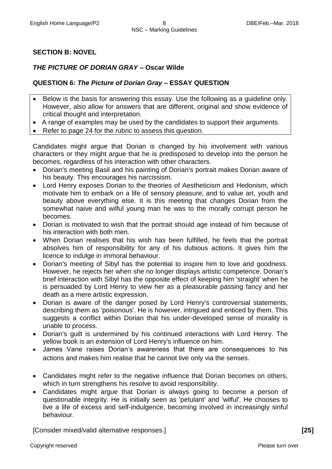# **SECTION B: NOVEL**

# *THE PICTURE OF DORIAN GRAY –* **Oscar Wilde**

# **QUESTION 6:** *The Picture of Dorian Gray* **– ESSAY QUESTION**

- Below is the basis for answering this essay. Use the following as a guideline only. However, also allow for answers that are different, original and show evidence of critical thought and interpretation.
- A range of examples may be used by the candidates to support their arguments.
- Refer to page 24 for the rubric to assess this question.

Candidates might argue that Dorian is changed by his involvement with various characters or they might argue that he is predisposed to develop into the person he becomes, regardless of his interaction with other characters.

- Dorian's meeting Basil and his painting of Dorian's portrait makes Dorian aware of his beauty. This encourages his narcissism.
- Lord Henry exposes Dorian to the theories of Aestheticism and Hedonism, which motivate him to embark on a life of sensory pleasure, and to value art, youth and beauty above everything else. It is this meeting that changes Dorian from the somewhat naive and wilful young man he was to the morally corrupt person he becomes.
- Dorian is motivated to wish that the portrait should age instead of him because of his interaction with both men.
- When Dorian realises that his wish has been fulfilled, he feels that the portrait absolves him of responsibility for any of his dubious actions. It gives him the licence to indulge in immoral behaviour.
- Dorian's meeting of Sibyl has the potential to inspire him to love and goodness. However, he rejects her when she no longer displays artistic competence. Dorian's brief interaction with Sibyl has the opposite effect of keeping him 'straight' when he is persuaded by Lord Henry to view her as a pleasurable passing fancy and her death as a mere artistic expression.
- Dorian is aware of the danger posed by Lord Henry's controversial statements, describing them as 'poisonous'. He is however, intrigued and enticed by them. This suggests a conflict within Dorian that his under-developed sense of morality is unable to process.
- Dorian's guilt is undermined by his continued interactions with Lord Henry. The yellow book is an extension of Lord Henry's influence on him.
- James Vane raises Dorian's awareness that there are consequences to his actions and makes him realise that he cannot live only via the senses.
- Candidates might refer to the negative influence that Dorian becomes on others, which in turn strengthens his resolve to avoid responsibility.
- Candidates might argue that Dorian is always going to become a person of questionable integrity. He is initially seen as 'petulant' and 'wilful'. He chooses to live a life of excess and self-indulgence, becoming involved in increasingly sinful behaviour.

[Consider mixed/valid alternative responses.] **[25]**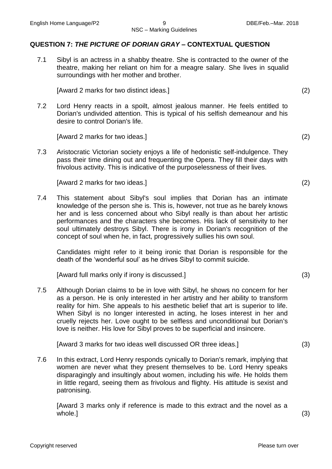# **QUESTION 7:** *THE PICTURE OF DORIAN GRAY* **– CONTEXTUAL QUESTION**

7.1 Sibyl is an actress in a shabby theatre. She is contracted to the owner of the theatre, making her reliant on him for a meagre salary. She lives in squalid surroundings with her mother and brother.

[Award 2 marks for two distinct ideas.] (2)

7.2 Lord Henry reacts in a spoilt, almost jealous manner. He feels entitled to Dorian's undivided attention. This is typical of his selfish demeanour and his desire to control Dorian's life.

[Award 2 marks for two ideas.] (2)

7.3 Aristocratic Victorian society enjoys a life of hedonistic self-indulgence. They pass their time dining out and frequenting the Opera. They fill their days with frivolous activity. This is indicative of the purposelessness of their lives.

[Award 2 marks for two ideas.] (2)

7.4 This statement about Sibyl's soul implies that Dorian has an intimate knowledge of the person she is. This is, however, not true as he barely knows her and is less concerned about who Sibyl really is than about her artistic performances and the characters she becomes. His lack of sensitivity to her soul ultimately destroys Sibyl. There is irony in Dorian's recognition of the concept of soul when he, in fact, progressively sullies his own soul.

Candidates might refer to it being ironic that Dorian is responsible for the death of the 'wonderful soul' as he drives Sibyl to commit suicide.

[Award full marks only if irony is discussed.] (3)

7.5 Although Dorian claims to be in love with Sibyl, he shows no concern for her as a person. He is only interested in her artistry and her ability to transform reality for him. She appeals to his aesthetic belief that art is superior to life. When Sibyl is no longer interested in acting, he loses interest in her and cruelly rejects her. Love ought to be selfless and unconditional but Dorian's love is neither. His love for Sibyl proves to be superficial and insincere.

[Award 3 marks for two ideas well discussed OR three ideas.] (3)

7.6 In this extract, Lord Henry responds cynically to Dorian's remark, implying that women are never what they present themselves to be. Lord Henry speaks disparagingly and insultingly about women, including his wife. He holds them in little regard, seeing them as frivolous and flighty. His attitude is sexist and patronising.

[Award 3 marks only if reference is made to this extract and the novel as a whole.] (3)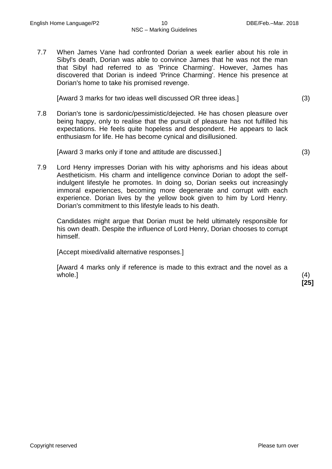7.7 When James Vane had confronted Dorian a week earlier about his role in Sibyl's death, Dorian was able to convince James that he was not the man that Sibyl had referred to as 'Prince Charming'. However, James has discovered that Dorian is indeed 'Prince Charming'. Hence his presence at Dorian's home to take his promised revenge.

[Award 3 marks for two ideas well discussed OR three ideas.] (3)

7.8 Dorian's tone is sardonic/pessimistic/dejected. He has chosen pleasure over being happy, only to realise that the pursuit of pleasure has not fulfilled his expectations. He feels quite hopeless and despondent. He appears to lack enthusiasm for life. He has become cynical and disillusioned.

[Award 3 marks only if tone and attitude are discussed.] (3)

7.9 Lord Henry impresses Dorian with his witty aphorisms and his ideas about Aestheticism. His charm and intelligence convince Dorian to adopt the selfindulgent lifestyle he promotes. In doing so, Dorian seeks out increasingly immoral experiences, becoming more degenerate and corrupt with each experience. Dorian lives by the yellow book given to him by Lord Henry. Dorian's commitment to this lifestyle leads to his death.

Candidates might argue that Dorian must be held ultimately responsible for his own death. Despite the influence of Lord Henry, Dorian chooses to corrupt himself.

[Accept mixed/valid alternative responses.]

[Award 4 marks only if reference is made to this extract and the novel as a whole.]  $(4)$ 

**[25]**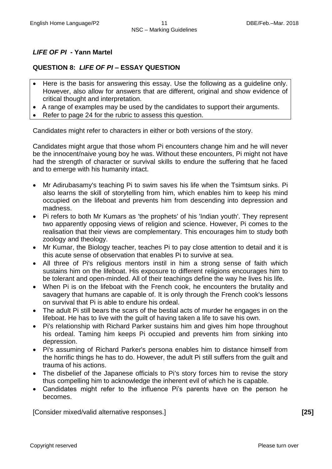# *LIFE OF PI* **- Yann Martel**

# **QUESTION 8:** *LIFE OF PI* **– ESSAY QUESTION**

- Here is the basis for answering this essay. Use the following as a guideline only. However, also allow for answers that are different, original and show evidence of critical thought and interpretation.
- A range of examples may be used by the candidates to support their arguments.
- Refer to page 24 for the rubric to assess this question.

Candidates might refer to characters in either or both versions of the story.

Candidates might argue that those whom Pi encounters change him and he will never be the innocent/naive young boy he was. Without these encounters, Pi might not have had the strength of character or survival skills to endure the suffering that he faced and to emerge with his humanity intact.

- Mr Adirubasamy's teaching Pi to swim saves his life when the Tsimtsum sinks. Pi also learns the skill of storytelling from him, which enables him to keep his mind occupied on the lifeboat and prevents him from descending into depression and madness.
- Pi refers to both Mr Kumars as 'the prophets' of his 'Indian youth'. They represent two apparently opposing views of religion and science. However, Pi comes to the realisation that their views are complementary. This encourages him to study both zoology and theology.
- Mr Kumar, the Biology teacher, teaches Pi to pay close attention to detail and it is this acute sense of observation that enables Pi to survive at sea.
- All three of Pi's religious mentors instil in him a strong sense of faith which sustains him on the lifeboat. His exposure to different religions encourages him to be tolerant and open-minded. All of their teachings define the way he lives his life.
- When Pi is on the lifeboat with the French cook, he encounters the brutality and savagery that humans are capable of. It is only through the French cook's lessons on survival that Pi is able to endure his ordeal.
- The adult Pi still bears the scars of the bestial acts of murder he engages in on the lifeboat. He has to live with the guilt of having taken a life to save his own.
- Pi's relationship with Richard Parker sustains him and gives him hope throughout his ordeal. Taming him keeps Pi occupied and prevents him from sinking into depression.
- Pi's assuming of Richard Parker's persona enables him to distance himself from the horrific things he has to do. However, the adult Pi still suffers from the guilt and trauma of his actions.
- The disbelief of the Japanese officials to Pi's story forces him to revise the story thus compelling him to acknowledge the inherent evil of which he is capable.
- Candidates might refer to the influence Pi's parents have on the person he becomes.

[Consider mixed/valid alternative responses.] **[25]**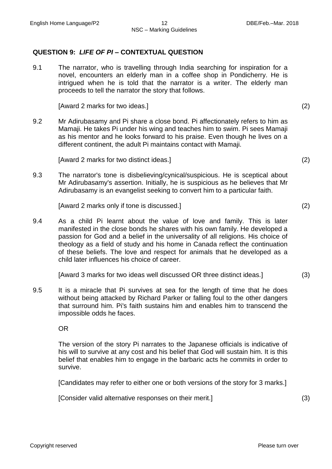### **QUESTION 9:** *LIFE OF PI* **– CONTEXTUAL QUESTION**

9.1 The narrator, who is travelling through India searching for inspiration for a novel, encounters an elderly man in a coffee shop in Pondicherry. He is intrigued when he is told that the narrator is a writer. The elderly man proceeds to tell the narrator the story that follows.

[Award 2 marks for two ideas.] (2)

9.2 Mr Adirubasamy and Pi share a close bond. Pi affectionately refers to him as Mamaji. He takes Pi under his wing and teaches him to swim. Pi sees Mamaji as his mentor and he looks forward to his praise. Even though he lives on a different continent, the adult Pi maintains contact with Mamaji.

[Award 2 marks for two distinct ideas.] (2)

9.3 The narrator's tone is disbelieving/cynical/suspicious. He is sceptical about Mr Adirubasamy's assertion. Initially, he is suspicious as he believes that Mr Adirubasamy is an evangelist seeking to convert him to a particular faith.

[Award 2 marks only if tone is discussed.] (2)

9.4 As a child Pi learnt about the value of love and family. This is later manifested in the close bonds he shares with his own family. He developed a passion for God and a belief in the universality of all religions. His choice of theology as a field of study and his home in Canada reflect the continuation of these beliefs. The love and respect for animals that he developed as a child later influences his choice of career.

[Award 3 marks for two ideas well discussed OR three distinct ideas.] (3)

9.5 It is a miracle that Pi survives at sea for the length of time that he does without being attacked by Richard Parker or falling foul to the other dangers that surround him. Pi's faith sustains him and enables him to transcend the impossible odds he faces.

OR

The version of the story Pi narrates to the Japanese officials is indicative of his will to survive at any cost and his belief that God will sustain him. It is this belief that enables him to engage in the barbaric acts he commits in order to survive.

[Candidates may refer to either one or both versions of the story for 3 marks.]

[Consider valid alternative responses on their merit.] (3)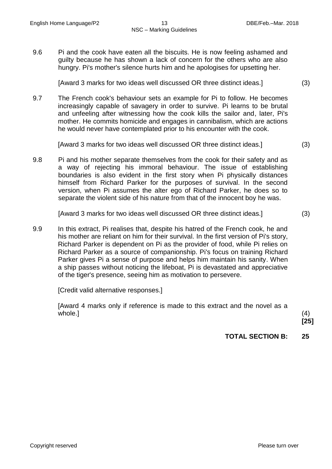9.6 Pi and the cook have eaten all the biscuits. He is now feeling ashamed and guilty because he has shown a lack of concern for the others who are also hungry. Pi's mother's silence hurts him and he apologises for upsetting her.

[Award 3 marks for two ideas well discussed OR three distinct ideas.] (3)

9.7 The French cook's behaviour sets an example for Pi to follow. He becomes increasingly capable of savagery in order to survive. Pi learns to be brutal and unfeeling after witnessing how the cook kills the sailor and, later, Pi's mother. He commits homicide and engages in cannibalism, which are actions he would never have contemplated prior to his encounter with the cook.

[Award 3 marks for two ideas well discussed OR three distinct ideas.] (3)

9.8 Pi and his mother separate themselves from the cook for their safety and as a way of rejecting his immoral behaviour. The issue of establishing boundaries is also evident in the first story when Pi physically distances himself from Richard Parker for the purposes of survival. In the second version, when Pi assumes the alter ego of Richard Parker, he does so to separate the violent side of his nature from that of the innocent boy he was.

[Award 3 marks for two ideas well discussed OR three distinct ideas.] (3)

9.9 In this extract, Pi realises that, despite his hatred of the French cook, he and his mother are reliant on him for their survival. In the first version of Pi's story, Richard Parker is dependent on Pi as the provider of food, while Pi relies on Richard Parker as a source of companionship. Pi's focus on training Richard Parker gives Pi a sense of purpose and helps him maintain his sanity. When a ship passes without noticing the lifeboat, Pi is devastated and appreciative of the tiger's presence, seeing him as motivation to persevere.

[Credit valid alternative responses.]

[Award 4 marks only if reference is made to this extract and the novel as a whole.]  $(4)$ 

**[25]**

**TOTAL SECTION B: 25**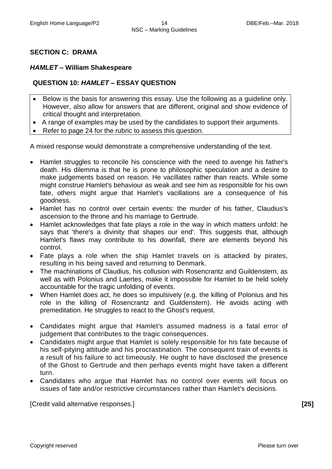# **SECTION C: DRAMA**

#### *HAMLET* **– William Shakespeare**

# **QUESTION 10:** *HAMLET* **– ESSAY QUESTION**

- Below is the basis for answering this essay. Use the following as a guideline only. However, also allow for answers that are different, original and show evidence of critical thought and interpretation.
- A range of examples may be used by the candidates to support their arguments.
- Refer to page 24 for the rubric to assess this question.

A mixed response would demonstrate a comprehensive understanding of the text.

- Hamlet struggles to reconcile his conscience with the need to avenge his father's death. His dilemma is that he is prone to philosophic speculation and a desire to make judgements based on reason. He vacillates rather than reacts. While some might construe Hamlet's behaviour as weak and see him as responsible for his own fate, others might argue that Hamlet's vacillations are a consequence of his goodness.
- Hamlet has no control over certain events: the murder of his father, Claudius's ascension to the throne and his marriage to Gertrude.
- Hamlet acknowledges that fate plays a role in the way in which matters unfold: he says that 'there's a divinity that shapes our end'. This suggests that, although Hamlet's flaws may contribute to his downfall, there are elements beyond his control.
- Fate plays a role when the ship Hamlet travels on is attacked by pirates, resulting in his being saved and returning to Denmark.
- The machinations of Claudius, his collusion with Rosencrantz and Guildenstern, as well as with Polonius and Laertes, make it impossible for Hamlet to be held solely accountable for the tragic unfolding of events.
- When Hamlet does act, he does so impulsively (e.g. the killing of Polonius and his role in the killing of Rosencrantz and Guildenstern). He avoids acting with premeditation. He struggles to react to the Ghost's request.
- Candidates might argue that Hamlet's assumed madness is a fatal error of judgement that contributes to the tragic consequences.
- Candidates might argue that Hamlet is solely responsible for his fate because of his self-pitying attitude and his procrastination. The consequent train of events is a result of his failure to act timeously. He ought to have disclosed the presence of the Ghost to Gertrude and then perhaps events might have taken a different turn.
- Candidates who argue that Hamlet has no control over events will focus on issues of fate and/or restrictive circumstances rather than Hamlet's decisions.

[Credit valid alternative responses.] **[25]**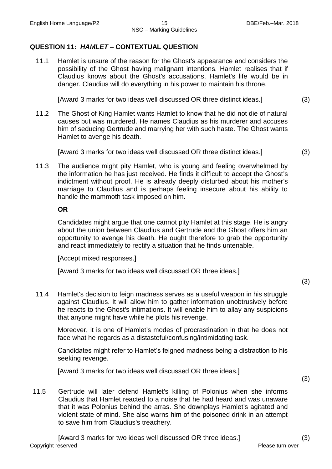# **QUESTION 11:** *HAMLET* **– CONTEXTUAL QUESTION**

11.1 Hamlet is unsure of the reason for the Ghost's appearance and considers the possibility of the Ghost having malignant intentions. Hamlet realises that if Claudius knows about the Ghost's accusations, Hamlet's life would be in danger. Claudius will do everything in his power to maintain his throne.

[Award 3 marks for two ideas well discussed OR three distinct ideas.] (3)

11.2 The Ghost of King Hamlet wants Hamlet to know that he did not die of natural causes but was murdered. He names Claudius as his murderer and accuses him of seducing Gertrude and marrying her with such haste. The Ghost wants Hamlet to avenge his death.

[Award 3 marks for two ideas well discussed OR three distinct ideas.] (3)

11.3 The audience might pity Hamlet, who is young and feeling overwhelmed by the information he has just received. He finds it difficult to accept the Ghost's indictment without proof. He is already deeply disturbed about his mother's marriage to Claudius and is perhaps feeling insecure about his ability to handle the mammoth task imposed on him.

#### **OR**

Candidates might argue that one cannot pity Hamlet at this stage. He is angry about the union between Claudius and Gertrude and the Ghost offers him an opportunity to avenge his death. He ought therefore to grab the opportunity and react immediately to rectify a situation that he finds untenable.

[Accept mixed responses.]

[Award 3 marks for two ideas well discussed OR three ideas.]

(3)

11.4 Hamlet's decision to feign madness serves as a useful weapon in his struggle against Claudius. It will allow him to gather information unobtrusively before he reacts to the Ghost's intimations. It will enable him to allay any suspicions that anyone might have while he plots his revenge.

Moreover, it is one of Hamlet's modes of procrastination in that he does not face what he regards as a distasteful/confusing/intimidating task.

Candidates might refer to Hamlet's feigned madness being a distraction to his seeking revenge.

[Award 3 marks for two ideas well discussed OR three ideas.]

(3)

11.5 Gertrude will later defend Hamlet's killing of Polonius when she informs Claudius that Hamlet reacted to a noise that he had heard and was unaware that it was Polonius behind the arras. She downplays Hamlet's agitated and violent state of mind. She also warns him of the poisoned drink in an attempt to save him from Claudius's treachery.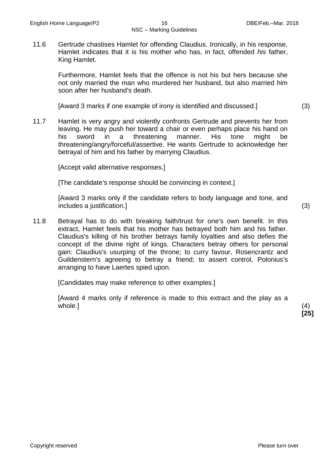# NSC – Marking Guidelines

11.6 Gertrude chastises Hamlet for offending Claudius. Ironically, in his response, Hamlet indicates that it is his mother who has, in fact, offended *his* father, King Hamlet.

Furthermore, Hamlet feels that the offence is not his but hers because she not only married the man who murdered her husband, but also married him soon after her husband's death.

[Award 3 marks if one example of irony is identified and discussed.] (3)

11.7 Hamlet is very angry and violently confronts Gertrude and prevents her from leaving. He may push her toward a chair or even perhaps place his hand on his sword in a threatening manner. His tone might be threatening/angry/forceful/assertive. He wants Gertrude to acknowledge her betrayal of him and his father by marrying Claudius.

[Accept valid alternative responses.]

[The candidate's response should be convincing in context.]

[Award 3 marks only if the candidate refers to body language and tone, and includes a justification.] (3)

11.8 Betrayal has to do with breaking faith/trust for one's own benefit. In this extract, Hamlet feels that his mother has betrayed both him and his father. Claudius's killing of his brother betrays family loyalties and also defies the concept of the divine right of kings. Characters betray others for personal gain: Claudius's usurping of the throne; to curry favour, Rosencrantz and Guildenstern's agreeing to betray a friend; to assert control, Polonius's arranging to have Laertes spied upon.

[Candidates may make reference to other examples.]

[Award 4 marks only if reference is made to this extract and the play as a whole.]  $(4)$ 

**[25]**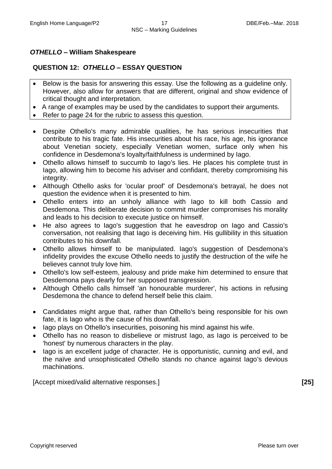# *OTHELLO* **– William Shakespeare**

# **QUESTION 12:** *OTHELLO* **– ESSAY QUESTION**

- Below is the basis for answering this essay. Use the following as a guideline only. However, also allow for answers that are different, original and show evidence of critical thought and interpretation.
- A range of examples may be used by the candidates to support their arguments.
- Refer to page 24 for the rubric to assess this question.
- Despite Othello's many admirable qualities, he has serious insecurities that contribute to his tragic fate. His insecurities about his race, his age, his ignorance about Venetian society, especially Venetian women, surface only when his confidence in Desdemona's loyalty/faithfulness is undermined by Iago.
- Othello allows himself to succumb to Iago's lies. He places his complete trust in Iago, allowing him to become his adviser and confidant, thereby compromising his integrity.
- Although Othello asks for 'ocular proof' of Desdemona's betrayal, he does not question the evidence when it is presented to him.
- Othello enters into an unholy alliance with Iago to kill both Cassio and Desdemona. This deliberate decision to commit murder compromises his morality and leads to his decision to execute justice on himself.
- He also agrees to Iago's suggestion that he eavesdrop on Iago and Cassio's conversation, not realising that Iago is deceiving him. His gullibility in this situation contributes to his downfall.
- Othello allows himself to be manipulated. Iago's suggestion of Desdemona's infidelity provides the excuse Othello needs to justify the destruction of the wife he believes cannot truly love him.
- Othello's low self-esteem, jealousy and pride make him determined to ensure that Desdemona pays dearly for her supposed transgression.
- Although Othello calls himself 'an honourable murderer', his actions in refusing Desdemona the chance to defend herself belie this claim.
- Candidates might argue that, rather than Othello's being responsible for his own fate, it is Iago who is the cause of his downfall.
- lago plays on Othello's insecurities, poisoning his mind against his wife.
- Othello has no reason to disbelieve or mistrust Iago, as Iago is perceived to be 'honest' by numerous characters in the play.
- lago is an excellent judge of character. He is opportunistic, cunning and evil, and the naïve and unsophisticated Othello stands no chance against Iago's devious machinations.

[Accept mixed/valid alternative responses.] **[25]**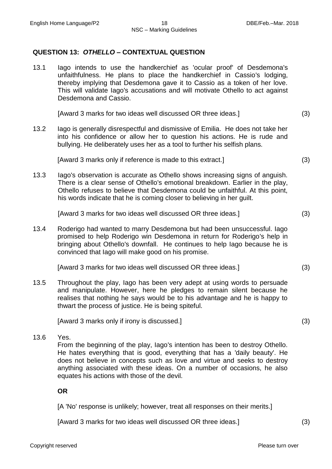#### **QUESTION 13:** *OTHELLO* **– CONTEXTUAL QUESTION**

13.1 Iago intends to use the handkerchief as 'ocular proof' of Desdemona's unfaithfulness. He plans to place the handkerchief in Cassio's lodging, thereby implying that Desdemona gave it to Cassio as a token of her love. This will validate Iago's accusations and will motivate Othello to act against Desdemona and Cassio.

[Award 3 marks for two ideas well discussed OR three ideas.] (3)

13.2 Iago is generally disrespectful and dismissive of Emilia. He does not take her into his confidence or allow her to question his actions. He is rude and bullying. He deliberately uses her as a tool to further his selfish plans.

[Award 3 marks only if reference is made to this extract.] (3)

13.3 Iago's observation is accurate as Othello shows increasing signs of anguish. There is a clear sense of Othello's emotional breakdown. Earlier in the play, Othello refuses to believe that Desdemona could be unfaithful. At this point, his words indicate that he is coming closer to believing in her guilt.

[Award 3 marks for two ideas well discussed OR three ideas.] (3)

13.4 Roderigo had wanted to marry Desdemona but had been unsuccessful. Iago promised to help Roderigo win Desdemona in return for Roderigo's help in bringing about Othello's downfall. He continues to help Iago because he is convinced that Iago will make good on his promise.

[Award 3 marks for two ideas well discussed OR three ideas.] (3)

13.5 Throughout the play, Iago has been very adept at using words to persuade and manipulate. However, here he pledges to remain silent because he realises that nothing he says would be to his advantage and he is happy to thwart the process of justice. He is being spiteful.

[Award 3 marks only if irony is discussed.] (3)

13.6 Yes.

From the beginning of the play, Iago's intention has been to destroy Othello. He hates everything that is good, everything that has a 'daily beauty'. He does not believe in concepts such as love and virtue and seeks to destroy anything associated with these ideas. On a number of occasions, he also equates his actions with those of the devil.

**OR**

[A 'No' response is unlikely; however, treat all responses on their merits.]

[Award 3 marks for two ideas well discussed OR three ideas.] (3)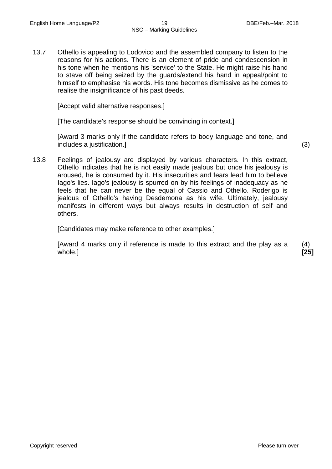13.7 Othello is appealing to Lodovico and the assembled company to listen to the reasons for his actions. There is an element of pride and condescension in his tone when he mentions his 'service' to the State. He might raise his hand to stave off being seized by the guards/extend his hand in appeal/point to himself to emphasise his words. His tone becomes dismissive as he comes to realise the insignificance of his past deeds.

[Accept valid alternative responses.]

[The candidate's response should be convincing in context.]

[Award 3 marks only if the candidate refers to body language and tone, and includes a justification.] (3)

- 
- 13.8 Feelings of jealousy are displayed by various characters. In this extract, Othello indicates that he is not easily made jealous but once his jealousy is aroused, he is consumed by it. His insecurities and fears lead him to believe Iago's lies. Iago's jealousy is spurred on by his feelings of inadequacy as he feels that he can never be the equal of Cassio and Othello. Roderigo is jealous of Othello's having Desdemona as his wife. Ultimately, jealousy manifests in different ways but always results in destruction of self and others.

[Candidates may make reference to other examples.]

[Award 4 marks only if reference is made to this extract and the play as a whole.]

(4) **[25]**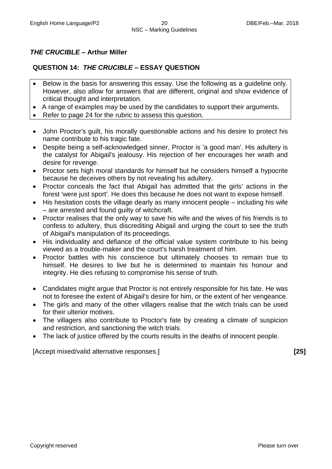# *THE CRUCIBLE* **– Arthur Miller**

# **QUESTION 14:** *THE CRUCIBLE* **– ESSAY QUESTION**

- Below is the basis for answering this essay. Use the following as a guideline only. However, also allow for answers that are different, original and show evidence of critical thought and interpretation.
- A range of examples may be used by the candidates to support their arguments.
- Refer to page 24 for the rubric to assess this question.
- John Proctor's guilt, his morally questionable actions and his desire to protect his name contribute to his tragic fate.
- Despite being a self-acknowledged sinner, Proctor is 'a good man'. His adultery is the catalyst for Abigail's jealousy. His rejection of her encourages her wrath and desire for revenge.
- Proctor sets high moral standards for himself but he considers himself a hypocrite because he deceives others by not revealing his adultery.
- Proctor conceals the fact that Abigail has admitted that the girls' actions in the forest 'were just sport'. He does this because he does not want to expose himself.
- His hesitation costs the village dearly as many innocent people including his wife – are arrested and found guilty of witchcraft.
- Proctor realises that the only way to save his wife and the wives of his friends is to confess to adultery, thus discrediting Abigail and urging the court to see the truth of Abigail's manipulation of its proceedings.
- His individuality and defiance of the official value system contribute to his being viewed as a trouble-maker and the court's harsh treatment of him.
- Proctor battles with his conscience but ultimately chooses to remain true to himself. He desires to live but he is determined to maintain his honour and integrity. He dies refusing to compromise his sense of truth.
- Candidates might argue that Proctor is not entirely responsible for his fate. He was not to foresee the extent of Abigail's desire for him, or the extent of her vengeance.
- The girls and many of the other villagers realise that the witch trials can be used for their ulterior motives.
- The villagers also contribute to Proctor's fate by creating a climate of suspicion and restriction, and sanctioning the witch trials.
- The lack of justice offered by the courts results in the deaths of innocent people.

[Accept mixed/valid alternative responses.] **[25]**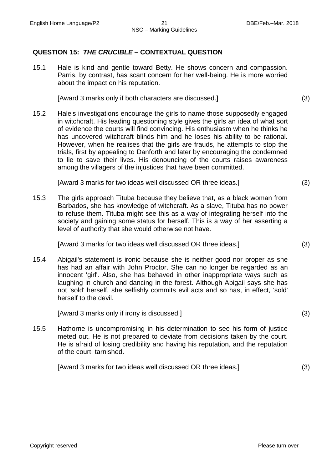### **QUESTION 15:** *THE CRUCIBLE* **– CONTEXTUAL QUESTION**

15.1 Hale is kind and gentle toward Betty. He shows concern and compassion. Parris, by contrast, has scant concern for her well-being. He is more worried about the impact on his reputation.

[Award 3 marks only if both characters are discussed.] (3)

15.2 Hale's investigations encourage the girls to name those supposedly engaged in witchcraft. His leading questioning style gives the girls an idea of what sort of evidence the courts will find convincing. His enthusiasm when he thinks he has uncovered witchcraft blinds him and he loses his ability to be rational. However, when he realises that the girls are frauds, he attempts to stop the trials, first by appealing to Danforth and later by encouraging the condemned to lie to save their lives. His denouncing of the courts raises awareness among the villagers of the injustices that have been committed.

[Award 3 marks for two ideas well discussed OR three ideas.] (3)

15.3 The girls approach Tituba because they believe that, as a black woman from Barbados, she has knowledge of witchcraft. As a slave, Tituba has no power to refuse them. Tituba might see this as a way of integrating herself into the society and gaining some status for herself. This is a way of her asserting a level of authority that she would otherwise not have.

[Award 3 marks for two ideas well discussed OR three ideas.] (3)

15.4 Abigail's statement is ironic because she is neither good nor proper as she has had an affair with John Proctor. She can no longer be regarded as an innocent 'girl'. Also, she has behaved in other inappropriate ways such as laughing in church and dancing in the forest. Although Abigail says she has not 'sold' herself, she selfishly commits evil acts and so has, in effect, 'sold' herself to the devil.

[Award 3 marks only if irony is discussed.] (3)

15.5 Hathorne is uncompromising in his determination to see his form of justice meted out. He is not prepared to deviate from decisions taken by the court. He is afraid of losing credibility and having his reputation, and the reputation of the court, tarnished.

[Award 3 marks for two ideas well discussed OR three ideas.] (3)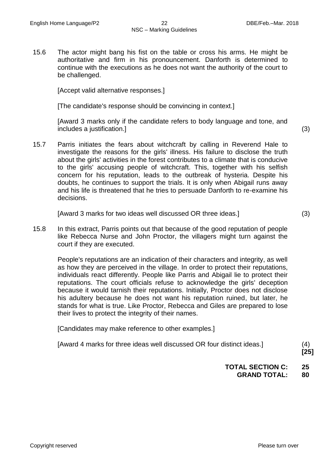15.6 The actor might bang his fist on the table or cross his arms. He might be authoritative and firm in his pronouncement. Danforth is determined to continue with the executions as he does not want the authority of the court to be challenged.

[Accept valid alternative responses.]

[The candidate's response should be convincing in context.]

[Award 3 marks only if the candidate refers to body language and tone, and includes a justification.] (3)

15.7 Parris initiates the fears about witchcraft by calling in Reverend Hale to investigate the reasons for the girls' illness. His failure to disclose the truth about the girls' activities in the forest contributes to a climate that is conducive to the girls' accusing people of witchcraft. This, together with his selfish concern for his reputation, leads to the outbreak of hysteria. Despite his doubts, he continues to support the trials. It is only when Abigail runs away and his life is threatened that he tries to persuade Danforth to re-examine his decisions.

[Award 3 marks for two ideas well discussed OR three ideas.] (3)

15.8 In this extract, Parris points out that because of the good reputation of people like Rebecca Nurse and John Proctor, the villagers might turn against the court if they are executed.

People's reputations are an indication of their characters and integrity, as well as how they are perceived in the village. In order to protect their reputations, individuals react differently. People like Parris and Abigail lie to protect their reputations. The court officials refuse to acknowledge the girls' deception because it would tarnish their reputations. Initially, Proctor does not disclose his adultery because he does not want his reputation ruined, but later, he stands for what is true. Like Proctor, Rebecca and Giles are prepared to lose their lives to protect the integrity of their names.

[Candidates may make reference to other examples.]

**[25]**

**TOTAL SECTION C: 25 GRAND TOTAL: 80**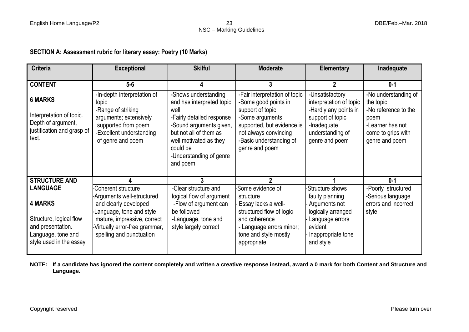# **SECTION A: Assessment rubric for literary essay: Poetry (10 Marks)**

| <b>Criteria</b>                                                                                                 | <b>Exceptional</b>                                                                                                                                                          | <b>Skilful</b>                                                                                                                                                                                                           | <b>Moderate</b>                                                                                                                                                                                  | <b>Elementary</b>                                                                                                                            | Inadequate                                                                                                                    |
|-----------------------------------------------------------------------------------------------------------------|-----------------------------------------------------------------------------------------------------------------------------------------------------------------------------|--------------------------------------------------------------------------------------------------------------------------------------------------------------------------------------------------------------------------|--------------------------------------------------------------------------------------------------------------------------------------------------------------------------------------------------|----------------------------------------------------------------------------------------------------------------------------------------------|-------------------------------------------------------------------------------------------------------------------------------|
|                                                                                                                 |                                                                                                                                                                             |                                                                                                                                                                                                                          |                                                                                                                                                                                                  |                                                                                                                                              |                                                                                                                               |
| <b>CONTENT</b>                                                                                                  | $5-6$                                                                                                                                                                       |                                                                                                                                                                                                                          | 3                                                                                                                                                                                                | $\mathbf 2$                                                                                                                                  | $0 - 1$                                                                                                                       |
| <b>6 MARKS</b><br>Interpretation of topic.<br>Depth of argument,<br>justification and grasp of<br>text.         | -In-depth interpretation of<br>topic<br>-Range of striking<br>arguments; extensively<br>supported from poem<br>-Excellent understanding<br>of genre and poem                | -Shows understanding<br>and has interpreted topic<br>well<br>-Fairly detailed response<br>-Sound arguments given,<br>but not all of them as<br>well motivated as they<br>could be<br>-Understanding of genre<br>and poem | -Fair interpretation of topic<br>-Some good points in<br>support of topic<br>-Some arguments<br>supported, but evidence is<br>not always convincing<br>-Basic understanding of<br>genre and poem | -Unsatisfactory<br>interpretation of topic<br>-Hardly any points in<br>support of topic<br>-Inadequate<br>understanding of<br>genre and poem | -No understanding of<br>the topic<br>-No reference to the<br>poem<br>-Learner has not<br>come to grips with<br>genre and poem |
| <b>STRUCTURE AND</b>                                                                                            |                                                                                                                                                                             |                                                                                                                                                                                                                          | 2                                                                                                                                                                                                |                                                                                                                                              | $0 - 1$                                                                                                                       |
| <b>LANGUAGE</b>                                                                                                 | Coherent structure                                                                                                                                                          | -Clear structure and                                                                                                                                                                                                     | Some evidence of                                                                                                                                                                                 | -Structure shows                                                                                                                             | -Poorly structured                                                                                                            |
| <b>4 MARKS</b><br>Structure, logical flow<br>and presentation.<br>Language, tone and<br>style used in the essay | -Arguments well-structured<br>and clearly developed<br>Language, tone and style<br>mature, impressive, correct<br>Virtually error-free grammar,<br>spelling and punctuation | logical flow of argument<br>-Flow of argument can<br>be followed<br>-Language, tone and<br>style largely correct                                                                                                         | structure<br>Essay lacks a well-<br>structured flow of logic<br>and coherence<br>- Language errors minor;<br>tone and style mostly<br>appropriate                                                | faulty planning<br>Arguments not<br>logically arranged<br>Language errors<br>evident<br>Inappropriate tone<br>and style                      | -Serious language<br>errors and incorrect<br>style                                                                            |

**NOTE: If a candidate has ignored the content completely and written a creative response instead, award a 0 mark for both Content and Structure and Language.**